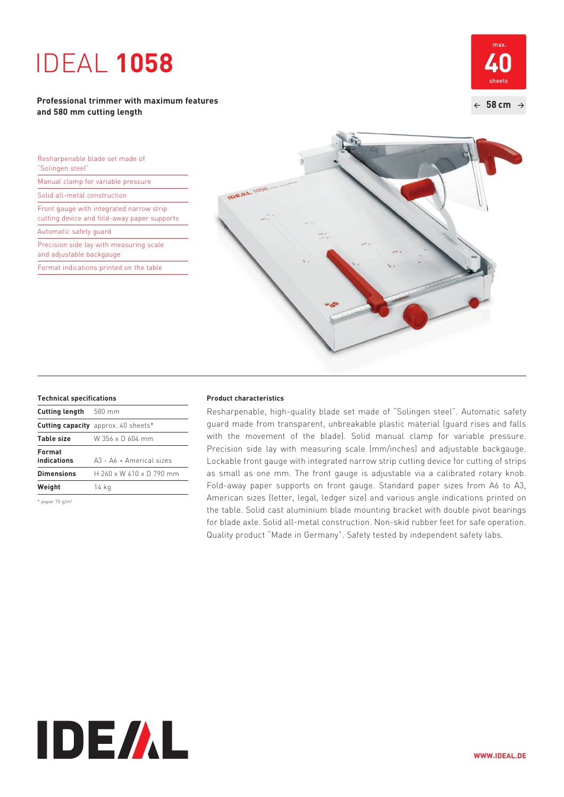# IDEAL **1058**

# **Professional trimmer with maximum features and 580 mm cutting length**



Resharpenable blade set made of "Solingen steel"

Manual clamp for variable pressure

Solid all-metal construction

Front gauge with integrated narrow strip cutting device and fold-away paper supports

Automatic safety guard

Precision side lay with measuring scale and adjustable backgauge

Format indications printed on the table



| <b>Cutting length</b> 580 mm |                                            |
|------------------------------|--------------------------------------------|
|                              | <b>Cutting capacity</b> approx. 40 sheets* |
| <b>Table size</b>            | W 356 x D 604 mm                           |
| Format<br>indications        | $A3 - A6 + \Delta$ Americal sizes          |
| <b>Dimensions</b>            | H 260 x W 410 x D 790 mm                   |
| Weight                       | 14 kg                                      |
|                              |                                            |

\* paper 70 g/m²

### **Technical specifications Product characteristics**

 Resharpenable, high-quality blade set made of "Solingen steel". Automatic safety guard made from transparent, unbreakable plastic material (guard rises and falls with the movement of the blade). Solid manual clamp for variable pressure. Precision side lay with measuring scale (mm/inches) and adjustable backgauge. Lockable front gauge with integrated narrow strip cutting device for cutting of strips as small as one mm. The front gauge is adjustable via a calibrated rotary knob. Fold-away paper supports on front gauge. Standard paper sizes from A6 to A3, American sizes (letter, legal, ledger size) and various angle indications printed on the table. Solid cast aluminium blade mounting bracket with double pivot bearings for blade axle. Solid all-metal construction. Non-skid rubber feet for safe operation. Quality product "Made in Germany". Safety tested by independent safety labs.